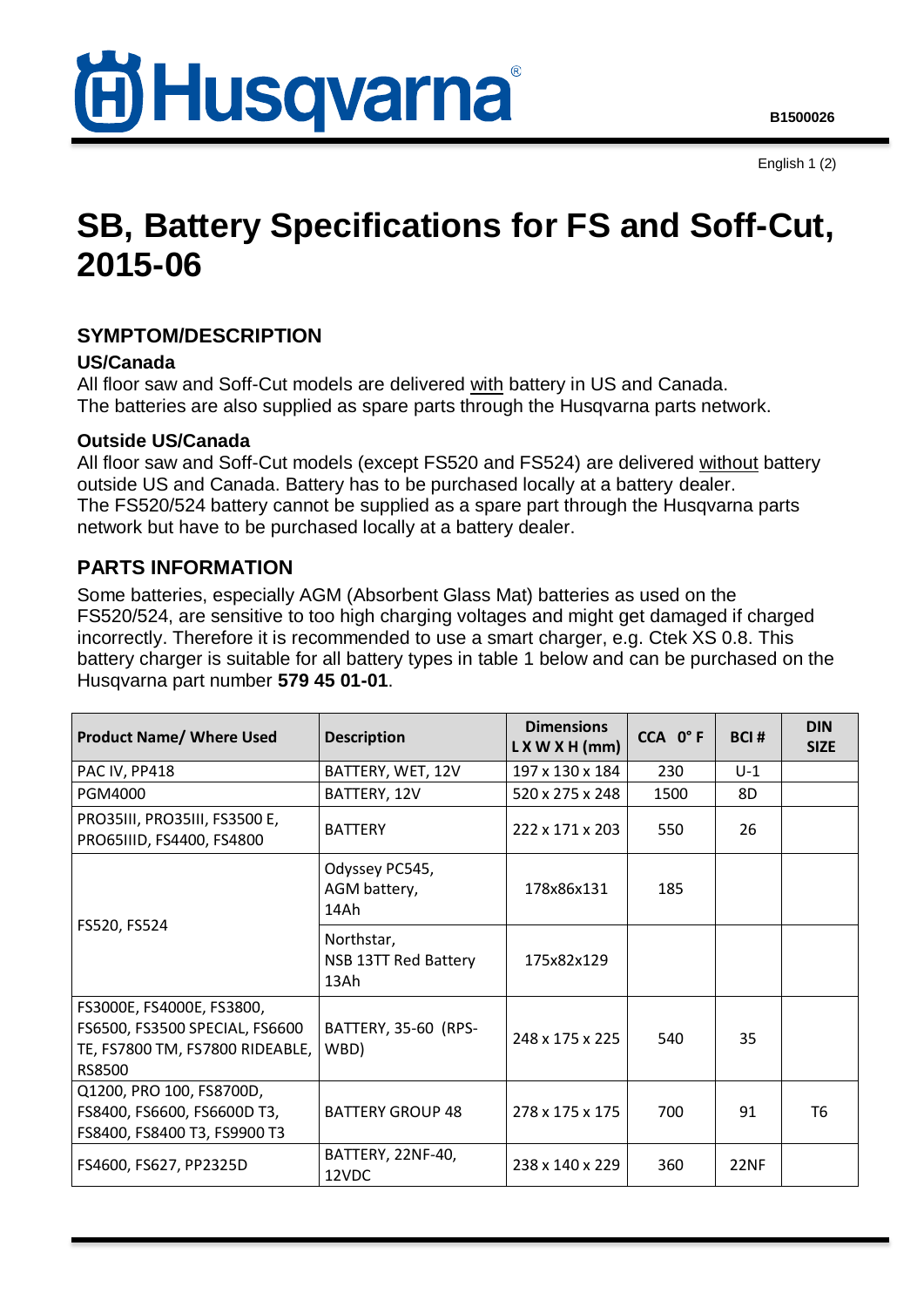

English 1 (2)

# **SB, Battery Specifications for FS and Soff-Cut, 2015-06**

## **SYMPTOM/DESCRIPTION**

#### **US/Canada**

All floor saw and Soff-Cut models are delivered with battery in US and Canada. The batteries are also supplied as spare parts through the Husqvarna parts network.

#### **Outside US/Canada**

All floor saw and Soff-Cut models (except FS520 and FS524) are delivered without battery outside US and Canada. Battery has to be purchased locally at a battery dealer. The FS520/524 battery cannot be supplied as a spare part through the Husqvarna parts network but have to be purchased locally at a battery dealer.

### **PARTS INFORMATION**

Some batteries, especially AGM (Absorbent Glass Mat) batteries as used on the FS520/524, are sensitive to too high charging voltages and might get damaged if charged incorrectly. Therefore it is recommended to use a smart charger, e.g. Ctek XS 0.8. This battery charger is suitable for all battery types in table 1 below and can be purchased on the Husqvarna part number **579 45 01-01**.

| <b>Product Name/ Where Used</b>                                                                          | <b>Description</b>                         | <b>Dimensions</b><br>$L$ X W X H (mm) | CCA 0°F | <b>BCI#</b> | <b>DIN</b><br><b>SIZE</b> |
|----------------------------------------------------------------------------------------------------------|--------------------------------------------|---------------------------------------|---------|-------------|---------------------------|
| PAC IV, PP418                                                                                            | BATTERY, WET, 12V                          | 197 x 130 x 184                       | 230     | $U-1$       |                           |
| <b>PGM4000</b>                                                                                           | BATTERY, 12V                               | 520 x 275 x 248                       | 1500    | 8D          |                           |
| PRO35III, PRO35III, FS3500 E,<br>PRO65IIID, FS4400, FS4800                                               | <b>BATTERY</b>                             | 222 x 171 x 203                       | 550     | 26          |                           |
| FS520, FS524                                                                                             | Odyssey PC545,<br>AGM battery,<br>14Ah     | 178x86x131                            | 185     |             |                           |
|                                                                                                          | Northstar,<br>NSB 13TT Red Battery<br>13Ah | 175x82x129                            |         |             |                           |
| FS3000E, FS4000E, FS3800,<br>FS6500, FS3500 SPECIAL, FS6600<br>TE, FS7800 TM, FS7800 RIDEABLE,<br>RS8500 | BATTERY, 35-60 (RPS-<br>WBD)               | 248 x 175 x 225                       | 540     | 35          |                           |
| Q1200, PRO 100, FS8700D,<br>FS8400, FS6600, FS6600D T3,<br>FS8400, FS8400 T3, FS9900 T3                  | <b>BATTERY GROUP 48</b>                    | 278 x 175 x 175                       | 700     | 91          | T6                        |
| FS4600, FS627, PP2325D                                                                                   | BATTERY, 22NF-40,<br>12VDC                 | 238 x 140 x 229                       | 360     | 22NF        |                           |